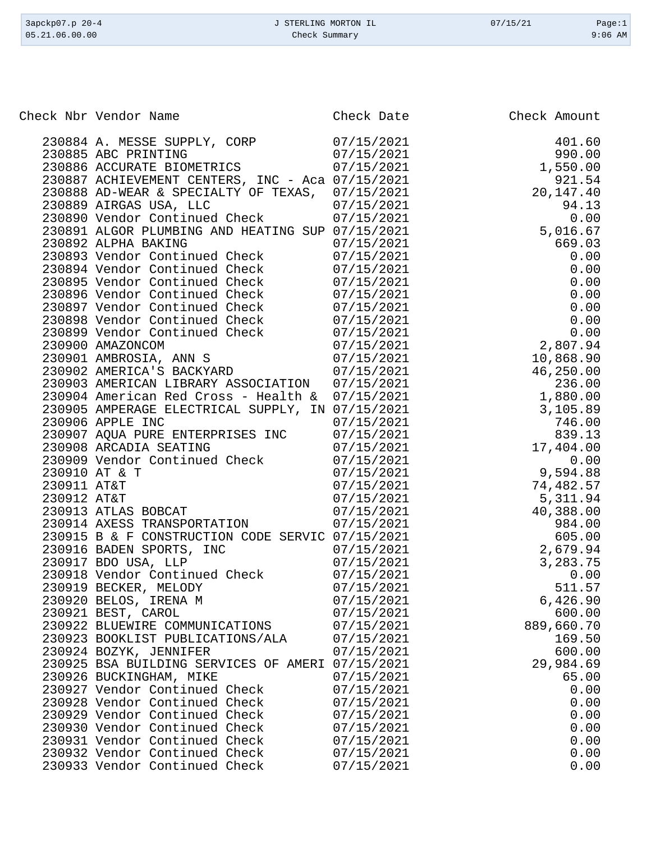| 3apckp07.p 20-4<br>05.21.06.00.00 | J STERLING MORTON IL<br>Check Summary |              |
|-----------------------------------|---------------------------------------|--------------|
|                                   |                                       |              |
|                                   |                                       |              |
| Check Nbr Vendor Name             | Check Date                            | Check Amount |

| 230884 A. MESSE SUPPLY, CORP                                                       | 07/15/2021 | 401.60     |
|------------------------------------------------------------------------------------|------------|------------|
| 230885 ABC PRINTING                                                                | 07/15/2021 | 990.00     |
| 230886 ACCURATE BIOMETRICS                                                         | 07/15/2021 | 1,550.00   |
| 230887 ACHIEVEMENT CENTERS, INC - Aca 07/15/2021                                   |            | 921.54     |
| 230888 AD-WEAR & SPECIALTY OF TEXAS, 07/15/2021                                    |            | 20,147.40  |
|                                                                                    | 07/15/2021 | 94.13      |
| 230889 AIRGAS USA, LLC<br>230890 Vendor Continued Check                            | 07/15/2021 | 0.00       |
| 230891 ALGOR PLUMBING AND HEATING SUP 07/15/2021                                   |            | 5,016.67   |
| 230892 ALPHA BAKING                                                                | 07/15/2021 | 669.03     |
| 230893 Vendor Continued Check                                                      | 07/15/2021 | 0.00       |
| 230894 Vendor Continued Check                                                      | 07/15/2021 | 0.00       |
| 230895 Vendor Continued Check                                                      | 07/15/2021 | 0.00       |
| 230896 Vendor Continued Check                                                      | 07/15/2021 | 0.00       |
| 230897 Vendor Continued Check                                                      | 07/15/2021 | 0.00       |
|                                                                                    | 07/15/2021 | 0.00       |
|                                                                                    | 07/15/2021 | 0.00       |
| 230898 Vendor Continued Check<br>230899 Vendor Continued Check<br>230900 AMAZONCOM | 07/15/2021 | 2,807.94   |
|                                                                                    | 07/15/2021 | 10,868.90  |
| 230901 AMBROSIA, ANN S<br>230902 AMERICA'S BACKYARD                                | 07/15/2021 | 46,250.00  |
| 230903 AMERICAN LIBRARY ASSOCIATION 07/15/2021                                     |            | 236.00     |
| 230904 American Red Cross - Health &                                               | 07/15/2021 | 1,880.00   |
| 230905 AMPERAGE ELECTRICAL SUPPLY, IN 07/15/2021                                   |            | 3,105.89   |
| 230906 APPLE INC                                                                   | 07/15/2021 | 746.00     |
|                                                                                    | 07/15/2021 | 839.13     |
| 230907 AQUA PURE ENTERPRISES INC<br>230908 ARCADIA SEATING                         | 07/15/2021 | 17,404.00  |
| 230909 Vendor Continued Check<br>230909 Vendor Continued Check                     | 07/15/2021 | 0.00       |
| 230910 AT & T                                                                      | 07/15/2021 | 9,594.88   |
| 230911 AT&T                                                                        | 07/15/2021 | 74,482.57  |
| 230912 AT&T                                                                        | 07/15/2021 | 5,311.94   |
| 230913 ATLAS BOBCAT                                                                | 07/15/2021 | 40,388.00  |
| 230914 AXESS TRANSPORTATION                                                        | 07/15/2021 | 984.00     |
| 230915 B & F CONSTRUCTION CODE SERVIC 07/15/2021                                   |            | 605.00     |
|                                                                                    | 07/15/2021 | 2,679.94   |
| 230916 BADEN SPORTS, INC<br>ס.ז.ז מחם דוממי<br>230917 BDO USA, LLP                 | 07/15/2021 | 3, 283. 75 |
|                                                                                    | 07/15/2021 | 0.00       |
| 230918 Vendor Continued Check<br>230919 BECKER, MELODY<br>230919 BECKER, MELODY    | 07/15/2021 | 511.57     |
| 230920 BELOS, IRENA M                                                              | 07/15/2021 | 6,426.90   |
| 230921 BEST, CAROL                                                                 | 07/15/2021 | 600.00     |
| 230922 BLUEWIRE COMMUNICATIONS                                                     | 07/15/2021 | 889,660.70 |
| 230923 BOOKLIST PUBLICATIONS/ALA                                                   | 07/15/2021 | 169.50     |
| 230924 BOZYK, JENNIFER                                                             | 07/15/2021 | 600.00     |
| 230925 BSA BUILDING SERVICES OF AMERI 07/15/2021                                   |            | 29,984.69  |
| 230926 BUCKINGHAM, MIKE                                                            | 07/15/2021 | 65.00      |
| 230927 Vendor Continued Check                                                      | 07/15/2021 | 0.00       |
| 230928 Vendor Continued Check                                                      | 07/15/2021 | 0.00       |
| 230929 Vendor Continued Check                                                      | 07/15/2021 | 0.00       |
| 230930 Vendor Continued Check                                                      | 07/15/2021 | 0.00       |
| 230931 Vendor Continued Check                                                      | 07/15/2021 | 0.00       |
| 230932 Vendor Continued Check                                                      | 07/15/2021 | 0.00       |
| 230933 Vendor Continued Check                                                      | 07/15/2021 | 0.00       |
|                                                                                    |            |            |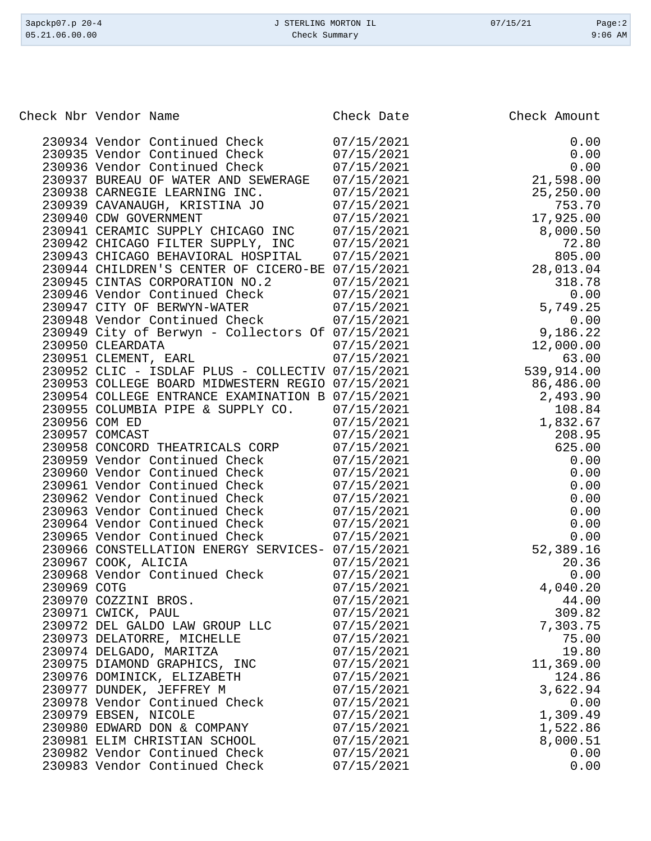|             | Check Nbr Vendor Name                                            | Check Date               | Check Amount |
|-------------|------------------------------------------------------------------|--------------------------|--------------|
|             | 230934 Vendor Continued Check                                    | 07/15/2021               | 0.00         |
|             | 230935 Vendor Continued Check                                    | 07/15/2021               | 0.00         |
|             | 230936 Vendor Continued Check                                    | 07/15/2021               | 0.00         |
|             | 230937 BUREAU OF WATER AND SEWERAGE                              | 07/15/2021               | 21,598.00    |
|             | 230938 CARNEGIE LEARNING INC.                                    | 07/15/2021               | 25,250.00    |
|             | 230939 CAVANAUGH, KRISTINA JO                                    | 07/15/2021               | 753.70       |
|             | 230940 CDW GOVERNMENT                                            | 07/15/2021               | 17,925.00    |
|             | 230941 CERAMIC SUPPLY CHICAGO INC                                | 07/15/2021               | 8,000.50     |
|             | 230942 CHICAGO FILTER SUPPLY, INC                                | 07/15/2021               | 72.80        |
|             | 230943 CHICAGO BEHAVIORAL HOSPITAL                               | 07/15/2021               | 805.00       |
|             | 230944 CHILDREN'S CENTER OF CICERO-BE 07/15/2021                 |                          | 28,013.04    |
|             | 230945 CINTAS CORPORATION NO.2                                   | 07/15/2021               | 318.78       |
|             | 230946 Vendor Continued Check                                    | 07/15/2021               | 0.00         |
|             | 230947 CITY OF BERWYN-WATER                                      | 07/15/2021               | 5,749.25     |
|             | 230948 Vendor Continued Check                                    | 07/15/2021               | 0.00         |
|             | 230949 City of Berwyn - Collectors Of 07/15/2021                 |                          | 9,186.22     |
|             | 230950 CLEARDATA                                                 | 07/15/2021               | 12,000.00    |
|             | 230951 CLEMENT, EARL                                             | 07/15/2021               | 63.00        |
|             | 230952 CLIC - ISDLAF PLUS - COLLECTIV 07/15/2021                 |                          | 539,914.00   |
|             | 230953 COLLEGE BOARD MIDWESTERN REGIO 07/15/2021                 |                          | 86,486.00    |
|             | 230954 COLLEGE ENTRANCE EXAMINATION B 07/15/2021                 |                          | 2,493.90     |
|             | 230955 COLUMBIA PIPE & SUPPLY CO.                                | 07/15/2021               | 108.84       |
|             | 230956 COM ED                                                    | 07/15/2021               | 1,832.67     |
|             | 230957 COMCAST                                                   | 07/15/2021               | 208.95       |
|             | 230958 CONCORD THEATRICALS CORP<br>230959 Vendor Continued Check | 07/15/2021<br>07/15/2021 | 625.00       |
|             | 230960 Vendor Continued Check                                    | 07/15/2021               | 0.00<br>0.00 |
|             | 230961 Vendor Continued Check                                    | 07/15/2021               | 0.00         |
|             | 230962 Vendor Continued Check                                    | 07/15/2021               | 0.00         |
|             | 230963 Vendor Continued Check                                    | 07/15/2021               | 0.00         |
|             | 230964 Vendor Continued Check                                    | 07/15/2021               | 0.00         |
|             | 230965 Vendor Continued Check                                    | 07/15/2021               | 0.00         |
|             | 230966 CONSTELLATION ENERGY SERVICES- 07/15/2021                 |                          | 52,389.16    |
|             | 230967 COOK, ALICIA                                              | 07/15/2021               | 20.36        |
|             | 230968 Vendor Continued Check                                    | 07/15/2021               | 0.00         |
| 230969 COTG |                                                                  | 07/15/2021               | 4,040.20     |
|             | 230970 COZZINI BROS.                                             | 07/15/2021               | 44.00        |
|             | 230971 CWICK, PAUL                                               | 07/15/2021               | 309.82       |
|             | 230972 DEL GALDO LAW GROUP LLC                                   | 07/15/2021               | 7,303.75     |
|             | 230973 DELATORRE, MICHELLE                                       | 07/15/2021               | 75.00        |
|             | 230974 DELGADO, MARITZA                                          | 07/15/2021               | 19.80        |
|             | 230975 DIAMOND GRAPHICS, INC                                     | 07/15/2021               | 11,369.00    |
|             | 230976 DOMINICK, ELIZABETH                                       | 07/15/2021               | 124.86       |
|             | 230977 DUNDEK, JEFFREY M                                         | 07/15/2021               | 3,622.94     |
|             | 230978 Vendor Continued Check                                    | 07/15/2021               | 0.00         |
|             | 230979 EBSEN, NICOLE                                             | 07/15/2021               | 1,309.49     |
|             | 230980 EDWARD DON & COMPANY                                      | 07/15/2021               | 1,522.86     |
|             | 230981 ELIM CHRISTIAN SCHOOL                                     | 07/15/2021               | 8,000.51     |
|             | 230982 Vendor Continued Check                                    | 07/15/2021               | 0.00         |
|             | 230983 Vendor Continued Check                                    | 07/15/2021               | 0.00         |

3apckp07.p 20-4 <br>
3apckp07.p 20-4 <br>
3apckp07.p 20-4 <br>
3apckp07.p 20-4 <br>
2apckp07.p 20-4 <br>
2apckp07.p 20-4 <br>
2apckp07.p 20-4 <br>
2apckp07.p 20-4 <br>
2apckp07.p 20-4 <br>
2apckp07.p 20-4 <br>
2apckp07.p 20-4 <br>
2apckp07.p 20-4 <br>
2apckp Check Summary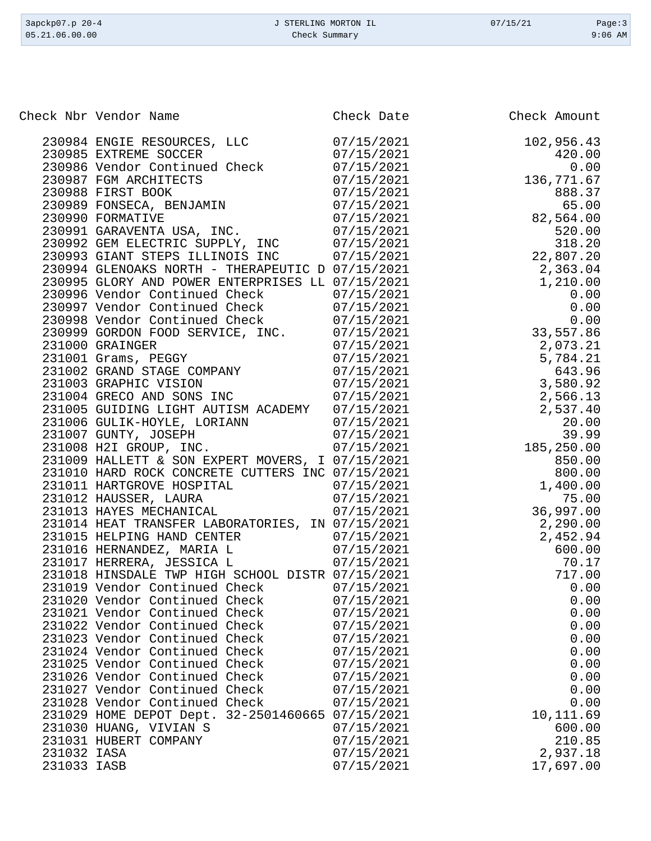| 3apckp07.p 20-4<br>05.21.06.00.00 | J STERLING MORTON IL<br>Check Summary                                                                |                          | 07/15/21 | Page:3<br>$9:06$ AM |
|-----------------------------------|------------------------------------------------------------------------------------------------------|--------------------------|----------|---------------------|
|                                   |                                                                                                      |                          |          |                     |
|                                   | Check Nbr Vendor Name                                                                                | Check Date               |          | Check Amount        |
|                                   | 230984 ENGIE RESOURCES, LLC                                                                          | 07/15/2021               |          | 102,956.43          |
|                                   | 230985 EXTREME SOCCER                                                                                | 07/15/2021               |          | 420.00              |
|                                   | 230986 Vendor Continued Check                                                                        | 07/15/2021               |          | 0.00                |
|                                   | 230987 FGM ARCHITECTS                                                                                | 07/15/2021               |          | 136,771.67          |
|                                   | 230988 FIRST BOOK                                                                                    | 07/15/2021               |          | 888.37              |
|                                   | 230989 FONSECA, BENJAMIN                                                                             | 07/15/2021               |          | 65.00               |
|                                   | 230990 FORMATIVE                                                                                     | 07/15/2021               |          | 82,564.00           |
|                                   | 230991 GARAVENTA USA, INC.                                                                           | 07/15/2021               |          | 520.00              |
|                                   | 230992 GEM ELECTRIC SUPPLY,<br>INC                                                                   | 07/15/2021               |          | 318.20              |
|                                   | 230993 GIANT STEPS ILLINOIS INC                                                                      | 07/15/2021               |          | 22,807.20           |
|                                   | 230994 GLENOAKS NORTH - THERAPEUTIC D 07/15/2021                                                     |                          |          | 2,363.04            |
|                                   | 230995 GLORY AND POWER ENTERPRISES LL 07/15/2021<br>230996 Vendor Continued Check                    | 07/15/2021               |          | 1,210.00<br>0.00    |
|                                   | 230997 Vendor Continued Check                                                                        | 07/15/2021               |          | 0.00                |
|                                   | 230998 Vendor Continued Check                                                                        | 07/15/2021               |          | 0.00                |
|                                   | 230999 GORDON FOOD SERVICE, INC.                                                                     | 07/15/2021               |          | 33,557.86           |
|                                   | 231000 GRAINGER                                                                                      | 07/15/2021               |          | 2,073.21            |
|                                   | 231001 Grams, PEGGY                                                                                  | 07/15/2021               |          | 5,784.21            |
|                                   | 231002 GRAND STAGE COMPANY                                                                           | 07/15/2021               |          | 643.96              |
|                                   | 231003 GRAPHIC VISION                                                                                | 07/15/2021               |          | 3,580.92            |
|                                   | 231004 GRECO AND SONS INC                                                                            | 07/15/2021               |          | 2,566.13            |
|                                   | 231005 GUIDING LIGHT AUTISM ACADEMY                                                                  | 07/15/2021               |          | 2,537.40            |
|                                   | 231006 GULIK-HOYLE, LORIANN                                                                          | 07/15/2021               |          | 20.00               |
|                                   | 231007 GUNTY, JOSEPH                                                                                 | 07/15/2021               |          | 39.99               |
|                                   | 231008 H2I GROUP, INC.                                                                               | 07/15/2021               |          | 185,250.00          |
|                                   | 231009 HALLETT & SON EXPERT MOVERS, I 07/15/2021<br>231010 HARD ROCK CONCRETE CUTTERS INC 07/15/2021 |                          |          | 850.00<br>800.00    |
|                                   | 231011 HARTGROVE HOSPITAL                                                                            | 07/15/2021               |          | 1,400.00            |
|                                   | 231012 HAUSSER, LAURA                                                                                | 07/15/2021               |          | 75.00               |
|                                   | 231013 HAYES MECHANICAL                                                                              | 07/15/2021               |          | 36,997.00           |
|                                   | 231014 HEAT TRANSFER LABORATORIES, IN 07/15/2021                                                     |                          |          | 2,290.00            |
|                                   | 231015 HELPING HAND CENTER                                                                           | 07/15/2021               |          | 2,452.94            |
|                                   | 231016 HERNANDEZ, MARIA L                                                                            | 07/15/2021               |          | 600.00              |
|                                   | 231017 HERRERA, JESSICA L                                                                            | 07/15/2021               |          | 70.17               |
|                                   | 231018 HINSDALE TWP HIGH SCHOOL DISTR 07/15/2021                                                     |                          |          | 717.00              |
|                                   | 231019 Vendor Continued Check                                                                        | 07/15/2021               |          | 0.00                |
|                                   | 231020 Vendor Continued Check                                                                        | 07/15/2021               |          | 0.00                |
|                                   | 231021 Vendor Continued Check                                                                        | 07/15/2021               |          | 0.00                |
|                                   | 231022 Vendor Continued Check<br>231023 Vendor Continued Check                                       | 07/15/2021<br>07/15/2021 |          | 0.00<br>0.00        |
|                                   | 231024 Vendor Continued Check                                                                        | 07/15/2021               |          | 0.00                |
|                                   | 231025 Vendor Continued Check                                                                        | 07/15/2021               |          | 0.00                |
|                                   | 231026 Vendor Continued Check                                                                        | 07/15/2021               |          | 0.00                |
|                                   | 231027 Vendor Continued Check                                                                        | 07/15/2021               |          | 0.00                |
|                                   | 231028 Vendor Continued Check                                                                        | 07/15/2021               |          | 0.00                |
|                                   | 231029 HOME DEPOT Dept. 32-2501460665 07/15/2021                                                     |                          |          | 10,111.69           |
|                                   | 231030 HUANG, VIVIAN S                                                                               | 07/15/2021               |          | 600.00              |
|                                   | 231031 HUBERT COMPANY                                                                                | 07/15/2021               |          | 210.85              |
| 231032 IASA                       |                                                                                                      | 07/15/2021               |          | 2,937.18            |
| 231033 IASB                       |                                                                                                      | 07/15/2021               |          | 17,697.00           |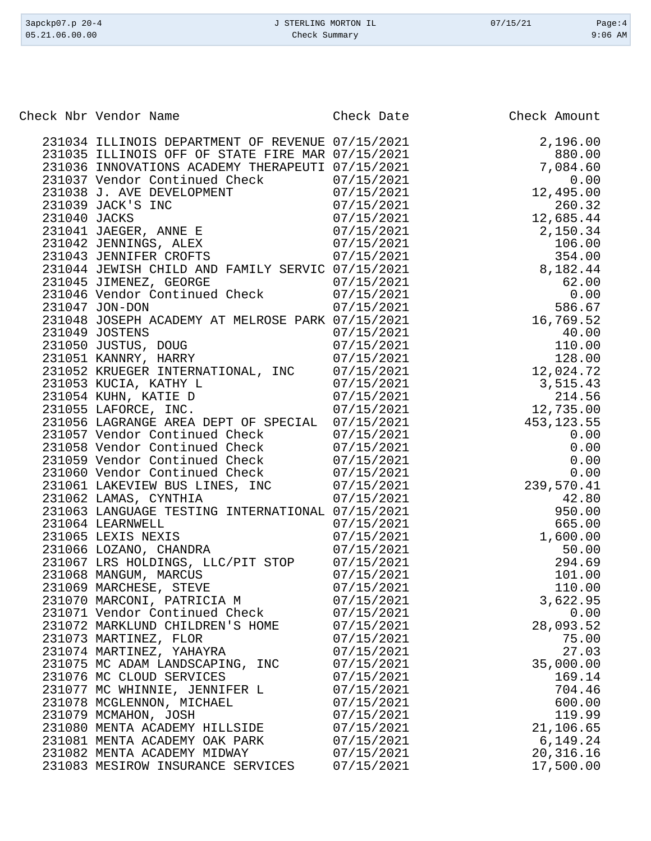| 3apckp07.p 20-4<br>05.21.06.00.00 | J STERLING MORTON IL<br>Check Summary                            |                          | 07/15/21 | Page:4<br>$9:06$ AM |
|-----------------------------------|------------------------------------------------------------------|--------------------------|----------|---------------------|
|                                   |                                                                  |                          |          |                     |
|                                   | Check Nbr Vendor Name                                            | Check Date               |          | Check Amount        |
|                                   | 231034 ILLINOIS DEPARTMENT OF REVENUE 07/15/2021                 |                          |          | 2,196.00            |
|                                   | 231035 ILLINOIS OFF OF STATE FIRE MAR 07/15/2021                 |                          |          | 880.00              |
|                                   | 231036 INNOVATIONS ACADEMY THERAPEUTI 07/15/2021                 |                          |          | 7,084.60            |
|                                   | 231037 Vendor Continued Check                                    | 07/15/2021               |          | 0.00                |
|                                   | 231038 J. AVE DEVELOPMENT                                        | 07/15/2021               |          | 12,495.00           |
|                                   | 231039 JACK'S INC                                                | 07/15/2021               |          | 260.32              |
| 231040 JACKS                      |                                                                  | 07/15/2021               |          | 12,685.44           |
|                                   | 231041 JAEGER, ANNE E                                            | 07/15/2021               |          | 2,150.34            |
|                                   | 231042 JENNINGS, ALEX                                            | 07/15/2021               |          | 106.00              |
|                                   | 231043 JENNIFER CROFTS                                           | 07/15/2021               |          | 354.00              |
|                                   | 231044 JEWISH CHILD AND FAMILY SERVIC 07/15/2021                 |                          |          | 8,182.44            |
|                                   | 231045 JIMENEZ, GEORGE<br>231046 Vendor Continued Check          | 07/15/2021<br>07/15/2021 |          | 62.00<br>0.00       |
|                                   | 231047 JON-DON                                                   | 07/15/2021               |          | 586.67              |
|                                   | 231048 JOSEPH ACADEMY AT MELROSE PARK 07/15/2021                 |                          |          | 16,769.52           |
|                                   | 231049 JOSTENS                                                   | 07/15/2021               |          | 40.00               |
|                                   | 231050 JUSTUS, DOUG                                              | 07/15/2021               |          | 110.00              |
|                                   | 231051 KANNRY, HARRY                                             | 07/15/2021               |          | 128.00              |
|                                   | 231052 KRUEGER INTERNATIONAL, INC                                | 07/15/2021               |          | 12,024.72           |
|                                   | 231053 KUCIA, KATHY L                                            | 07/15/2021               |          | 3,515.43            |
|                                   | 231054 KUHN, KATIE D                                             | 07/15/2021               |          | 214.56              |
|                                   | 231055 LAFORCE, INC.                                             | 07/15/2021               |          | 12,735.00           |
|                                   | 231056 LAGRANGE AREA DEPT OF SPECIAL 07/15/2021                  |                          |          | 453, 123.55         |
|                                   | 231057 Vendor Continued Check                                    | 07/15/2021               |          | 0.00                |
|                                   | 231058 Vendor Continued Check<br>231059 Vendor Continued Check   | 07/15/2021<br>07/15/2021 |          | 0.00<br>0.00        |
|                                   | 231060 Vendor Continued Check                                    | 07/15/2021               |          | 0.00                |
|                                   | 231061 LAKEVIEW BUS LINES, INC                                   | 07/15/2021               |          | 239,570.41          |
|                                   | 231062 LAMAS, CYNTHIA                                            | 07/15/2021               |          | 42.80               |
|                                   | 231063 LANGUAGE TESTING INTERNATIONAL 07/15/2021                 |                          |          | 950.00              |
|                                   | 231064 LEARNWELL                                                 | 07/15/2021               |          | 665.00              |
|                                   | 231065 LEXIS NEXIS                                               | 07/15/2021               |          | 1,600.00            |
|                                   | 231066 LOZANO, CHANDRA                                           | 07/15/2021               |          | 50.00               |
|                                   | 231067 LRS HOLDINGS, LLC/PIT STOP                                | 07/15/2021               |          | 294.69              |
|                                   | 231068 MANGUM, MARCUS                                            | 07/15/2021               |          | 101.00              |
|                                   | 231069 MARCHESE, STEVE                                           | 07/15/2021               |          | 110.00              |
|                                   | 231070 MARCONI, PATRICIA M                                       | 07/15/2021<br>07/15/2021 |          | 3,622.95<br>0.00    |
|                                   | 231071 Vendor Continued Check<br>231072 MARKLUND CHILDREN'S HOME | 07/15/2021               |          | 28,093.52           |
|                                   | 231073 MARTINEZ, FLOR                                            | 07/15/2021               |          | 75.00               |
|                                   | 231074 MARTINEZ, YAHAYRA                                         | 07/15/2021               |          | 27.03               |
|                                   | 231075 MC ADAM LANDSCAPING, INC                                  | 07/15/2021               |          | 35,000.00           |
|                                   | 231076 MC CLOUD SERVICES                                         | 07/15/2021               |          | 169.14              |
|                                   | 231077 MC WHINNIE, JENNIFER L                                    | 07/15/2021               |          | 704.46              |
|                                   | 231078 MCGLENNON, MICHAEL                                        | 07/15/2021               |          | 600.00              |
|                                   | 231079 MCMAHON, JOSH                                             | 07/15/2021               |          | 119.99              |
|                                   | 231080 MENTA ACADEMY HILLSIDE                                    | 07/15/2021               |          | 21,106.65           |
|                                   | 231081 MENTA ACADEMY OAK PARK                                    | 07/15/2021               |          | 6,149.24            |
|                                   | 231082 MENTA ACADEMY MIDWAY<br>231083 MESIROW INSURANCE SERVICES | 07/15/2021               |          | 20, 316.16          |
|                                   |                                                                  | 07/15/2021               |          | 17,500.00           |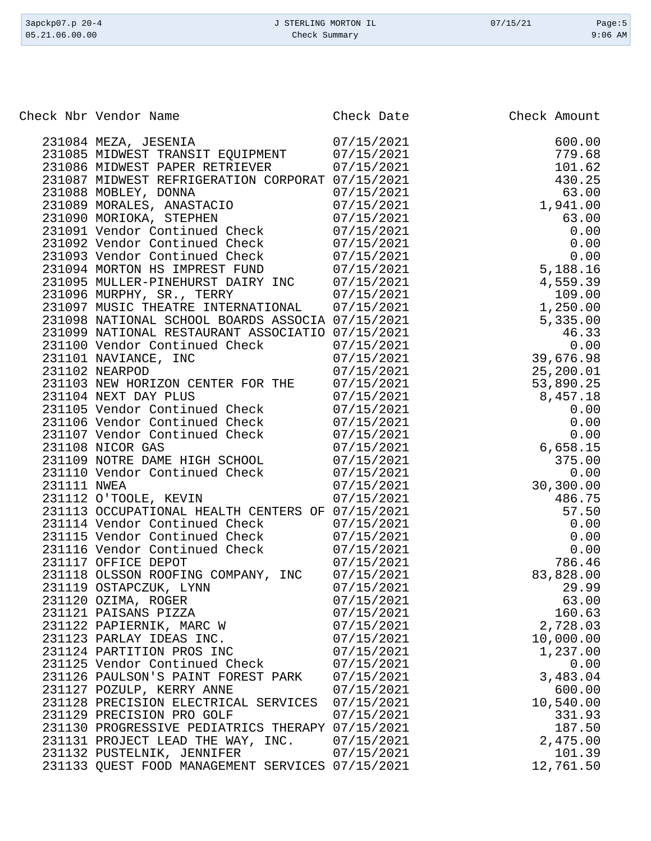| 3apckp07.p 20-4<br>05.21.06.00.00 | J STERLING MORTON IL<br>Check Summary                                      |                          | 07/15/21 | Page: $5$<br>$9:06$ AM |
|-----------------------------------|----------------------------------------------------------------------------|--------------------------|----------|------------------------|
|                                   |                                                                            |                          |          |                        |
|                                   | Check Nbr Vendor Name                                                      | Check Date               |          | Check Amount           |
|                                   |                                                                            |                          |          |                        |
|                                   | 231084 MEZA, JESENIA<br>231085 MIDWEST TRANSIT EQUIPMENT                   | 07/15/2021               |          | 600.00<br>779.68       |
|                                   | 231086 MIDWEST PAPER RETRIEVER                                             | 07/15/2021<br>07/15/2021 |          | 101.62                 |
|                                   | 231087 MIDWEST REFRIGERATION CORPORAT 07/15/2021                           |                          |          | 430.25                 |
|                                   | 231088 MOBLEY, DONNA                                                       | 07/15/2021               |          | 63.00                  |
|                                   | 231089 MORALES, ANASTACIO                                                  | 07/15/2021               |          | 1,941.00               |
|                                   | 231090 MORIOKA, STEPHEN                                                    | 07/15/2021               |          | 63.00                  |
|                                   | 231091 Vendor Continued Check                                              | 07/15/2021               |          | 0.00                   |
|                                   | 231092 Vendor Continued Check                                              | 07/15/2021               |          | 0.00                   |
|                                   | 231093 Vendor Continued Check                                              | 07/15/2021               |          | 0.00                   |
|                                   | 231094 MORTON HS IMPREST FUND                                              | 07/15/2021               |          | 5,188.16               |
|                                   | 231095 MULLER-PINEHURST DAIRY INC                                          | 07/15/2021               |          | 4,559.39               |
|                                   | 231096 MURPHY, SR., TERRY                                                  | 07/15/2021               |          | 109.00                 |
|                                   | 231097 MUSIC THEATRE INTERNATIONAL                                         | 07/15/2021               |          | 1,250.00               |
|                                   | 231098 NATIONAL SCHOOL BOARDS ASSOCIA 07/15/2021                           |                          |          | 5,335.00               |
|                                   | 231099 NATIONAL RESTAURANT ASSOCIATIO 07/15/2021                           |                          |          | 46.33                  |
|                                   | 231100 Vendor Continued Check                                              | 07/15/2021               |          | 0.00                   |
|                                   | 231101 NAVIANCE, INC                                                       | 07/15/2021               |          | 39,676.98              |
|                                   | 231102 NEARPOD                                                             | 07/15/2021               |          | 25,200.01              |
|                                   | 231103 NEW HORIZON CENTER FOR THE                                          | 07/15/2021               |          | 53,890.25              |
|                                   | 231104 NEXT DAY PLUS                                                       | 07/15/2021               |          | 8,457.18               |
|                                   | 231105 Vendor Continued Check                                              | 07/15/2021               |          | 0.00                   |
|                                   | 231106 Vendor Continued Check                                              | 07/15/2021               |          | 0.00                   |
|                                   | 231107 Vendor Continued Check<br>231108 NICOR GAS                          | 07/15/2021<br>07/15/2021 |          | 0.00                   |
|                                   | 231109 NOTRE DAME HIGH SCHOOL                                              | 07/15/2021               |          | 6,658.15<br>375.00     |
|                                   | 231110 Vendor Continued Check                                              | 07/15/2021               |          | 0.00                   |
| 231111 NWEA                       |                                                                            | 07/15/2021               |          | 30,300.00              |
|                                   | 231112 O'TOOLE, KEVIN                                                      | 07/15/2021               |          | 486.75                 |
|                                   | 231113 OCCUPATIONAL HEALTH CENTERS OF 07/15/2021                           |                          |          | 57.50                  |
|                                   | 231114 Vendor Continued Check                                              | 07/15/2021               |          | 0.00                   |
|                                   | 231115 Vendor Continued Check 07/15/2021                                   |                          |          | 0.00                   |
|                                   | 231116 Vendor Continued Check 07/15/2021                                   |                          |          | 0.00                   |
|                                   | 231117 OFFICE DEPOT                                                        | 07/15/2021               |          | 786.46                 |
|                                   | 231118 OLSSON ROOFING COMPANY, INC 07/15/2021                              |                          |          | 83,828.00              |
|                                   | 231119 OSTAPCZUK, LYNN                                                     | 07/15/2021               |          | 29.99                  |
|                                   | 231120 OZIMA, ROGER                                                        | 07/15/2021               |          | 63.00                  |
|                                   | 231121 PAISANS PIZZA                                                       | 07/15/2021               |          | 160.63                 |
|                                   | 231122 PAPIERNIK, MARC W                                                   | 07/15/2021               |          | 2,728.03               |
|                                   | 231123 PARLAY IDEAS INC.                                                   | 07/15/2021               |          | 10,000.00              |
|                                   | 231124 PARTITION PROS INC                                                  | 07/15/2021               |          | 1,237.00               |
|                                   | 231125 Vendor Continued Check 07/15/2021                                   |                          |          | 0.00                   |
|                                   | 231126 PAULSON'S PAINT FOREST PARK 07/15/2021                              |                          |          | 3,483.04               |
|                                   | 231127 POZULP, KERRY ANNE                                                  | 07/15/2021               |          | 600.00                 |
|                                   | 231128 PRECISION ELECTRICAL SERVICES 07/15/2021                            |                          |          | 10,540.00              |
|                                   | 231129 PRECISION PRO GOLF                                                  | 07/15/2021               |          | 331.93                 |
|                                   | 231130 PROGRESSIVE PEDIATRICS THERAPY 07/15/2021                           |                          |          | 187.50                 |
|                                   | 231131 PROJECT LEAD THE WAY, INC. 07/15/2021<br>231132 PUSTELNIK, JENNIFER | 07/15/2021               |          | 2,475.00<br>101.39     |
|                                   | 231133 QUEST FOOD MANAGEMENT SERVICES 07/15/2021                           |                          |          | 12,761.50              |
|                                   |                                                                            |                          |          |                        |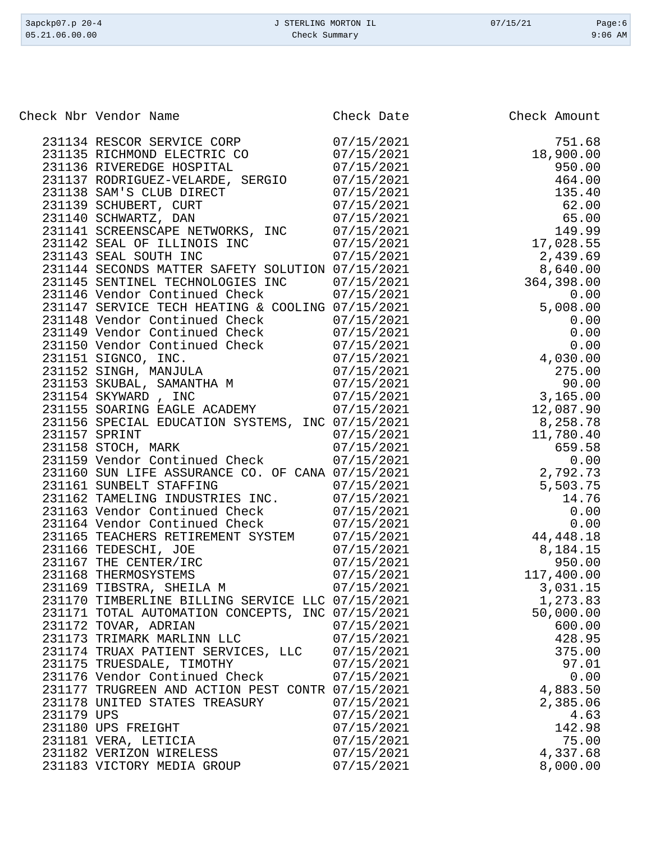| 3apckp07.p 20-4<br>05.21.06.00.00 | J STERLING MORTON IL<br>Check Summary            |                          | 07/15/21              | Page:6<br>$9:06$ AM |
|-----------------------------------|--------------------------------------------------|--------------------------|-----------------------|---------------------|
|                                   |                                                  |                          |                       |                     |
| Check Nbr Vendor Name             |                                                  | Check Date               | Check Amount          |                     |
|                                   |                                                  |                          |                       |                     |
|                                   | 231134 RESCOR SERVICE CORP                       | 07/15/2021               |                       | 751.68              |
|                                   | 231135 RICHMOND ELECTRIC CO                      | 07/15/2021               | 18,900.00             |                     |
|                                   | 231136 RIVEREDGE HOSPITAL                        | 07/15/2021               |                       | 950.00              |
|                                   | 231137 RODRIGUEZ-VELARDE, SERGIO                 | 07/15/2021               |                       | 464.00              |
| 231138 SAM'S CLUB DIRECT          |                                                  | 07/15/2021               |                       | 135.40              |
| 231139 SCHUBERT, CURT             |                                                  | 07/15/2021               |                       | 62.00               |
| 231140 SCHWARTZ, DAN              | 231141 SCREENSCAPE NETWORKS, INC                 | 07/15/2021<br>07/15/2021 |                       | 65.00               |
|                                   |                                                  |                          |                       | 149.99              |
| 231143 SEAL SOUTH INC             | 231142 SEAL OF ILLINOIS INC                      | 07/15/2021<br>07/15/2021 | 17,028.55<br>2,439.69 |                     |
|                                   | 231144 SECONDS MATTER SAFETY SOLUTION 07/15/2021 |                          | 8,640.00              |                     |
|                                   | 231145 SENTINEL TECHNOLOGIES INC                 | 07/15/2021               | 364,398.00            |                     |
|                                   | 231146 Vendor Continued Check                    | 07/15/2021               |                       | 0.00                |
|                                   | 231147 SERVICE TECH HEATING & COOLING 07/15/2021 |                          | 5,008.00              |                     |
|                                   | 231148 Vendor Continued Check                    | 07/15/2021               |                       | 0.00                |
|                                   | 231149 Vendor Continued Check                    | 07/15/2021               |                       | 0.00                |
|                                   | 231150 Vendor Continued Check                    | 07/15/2021               |                       | 0.00                |
| 231151 SIGNCO, INC.               |                                                  | 07/15/2021               | 4,030.00              |                     |
| 231152 SINGH, MANJULA             |                                                  | 07/15/2021               |                       | 275.00              |
|                                   | 231153 SKUBAL, SAMANTHA M                        | 07/15/2021               |                       | 90.00               |
| 231154 SKYWARD, INC               |                                                  | 07/15/2021               | 3,165.00              |                     |
|                                   | 231155 SOARING EAGLE ACADEMY                     | 07/15/2021               | 12,087.90             |                     |
|                                   | 231156 SPECIAL EDUCATION SYSTEMS, INC 07/15/2021 |                          | 8,258.78              |                     |
| 231157 SPRINT                     |                                                  | 07/15/2021               | 11,780.40             |                     |
| 231158 STOCH, MARK                |                                                  | 07/15/2021               |                       | 659.58              |
|                                   | 231159 Vendor Continued Check                    | 07/15/2021               |                       | 0.00                |
|                                   | 231160 SUN LIFE ASSURANCE CO. OF CANA 07/15/2021 |                          | 2,792.73              |                     |
| 231161 SUNBELT STAFFING           |                                                  | 07/15/2021               | 5,503.75              |                     |
|                                   | 231162 TAMELING INDUSTRIES INC.                  | 07/15/2021               |                       | 14.76               |
|                                   | 231163 Vendor Continued Check                    | 07/15/2021               |                       | 0.00                |
|                                   | 231164 Vendor Continued Check                    | 07/15/2021               |                       | 0.00                |
|                                   | 231165 TEACHERS RETIREMENT SYSTEM                | 07/15/2021               | 44, 448. 18           |                     |
| 231166 TEDESCHI, JOE              |                                                  | 07/15/2021               | 8,184.15              |                     |
| 231167 THE CENTER/IRC             |                                                  | 07/15/2021               |                       | 950.00              |
| 231168 THERMOSYSTEMS              |                                                  | 07/15/2021               | 117,400.00            |                     |
| 231169 TIBSTRA, SHEILA M          |                                                  | 07/15/2021               | 3,031.15              |                     |
|                                   | 231170 TIMBERLINE BILLING SERVICE LLC 07/15/2021 |                          | 1,273.83              |                     |

231171 TOTAL AUTOMATION CONCEPTS, INC 07/15/2021 50,000.00 TOVAR, ADRIAN 07/15/2021 600.00 TRIMARK MARLINN LLC 07/15/2021 428.95 TRUAX PATIENT SERVICES, LLC 07/15/2021 375.00 231175 TRUESDALE, TIMOTHY 07/15/2021 97.01<br>231176 Vendor Continued Check 07/15/2021 0.00

 TRUGREEN AND ACTION PEST CONTR 07/15/2021 4,883.50 UNITED STATES TREASURY 07/15/2021 2,385.06 UPS 07/15/2021 4.63 231180 UPS FREIGHT 07/15/2021 142.98 VERA, LETICIA 07/15/2021 75.00 VERIZON WIRELESS 07/15/2021 4,337.68

231176 Vendor Continued Check

231183 VICTORY MEDIA GROUP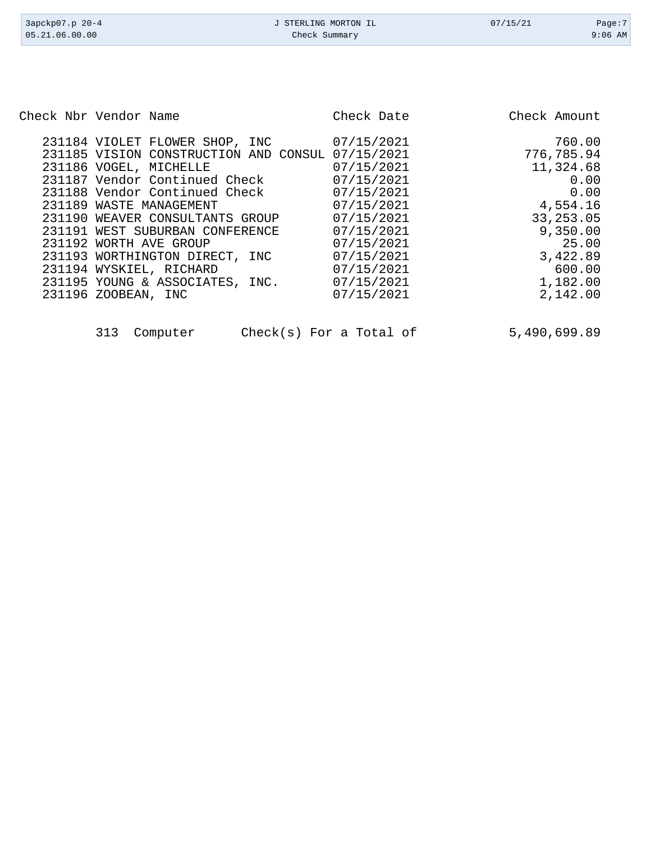| 3apckp07.p 20-4<br>05.21.06.00.00 | J STERLING MORTON IL<br>Check Summary | 07/15/21     | Page:7<br>$9:06$ AM |
|-----------------------------------|---------------------------------------|--------------|---------------------|
|                                   |                                       |              |                     |
|                                   |                                       |              |                     |
| Check Nbr Vendor Name             | Check Date                            | Check Amount |                     |

| 231184 VIOLET FLOWER SHOP, INC |                                       | 07/15/2021 | 760.00     |
|--------------------------------|---------------------------------------|------------|------------|
|                                | 231185 VISION CONSTRUCTION AND CONSUL | 07/15/2021 | 776,785.94 |
| 231186 VOGEL, MICHELLE         |                                       | 07/15/2021 | 11,324.68  |
| 231187 Vendor Continued Check  |                                       | 07/15/2021 | 0.00       |
| 231188 Vendor Continued Check  |                                       | 07/15/2021 | 0.00       |
| 231189 WASTE MANAGEMENT        |                                       | 07/15/2021 | 4,554.16   |
|                                | 231190 WEAVER CONSULTANTS GROUP       | 07/15/2021 | 33, 253.05 |
|                                | 231191 WEST SUBURBAN CONFERENCE       | 07/15/2021 | 9,350.00   |
| 231192 WORTH AVE GROUP         |                                       | 07/15/2021 | 25.00      |
| 231193 WORTHINGTON DIRECT, INC |                                       | 07/15/2021 | 3,422.89   |
| 231194 WYSKIEL, RICHARD        |                                       | 07/15/2021 | 600.00     |
|                                | 231195 YOUNG & ASSOCIATES, INC.       | 07/15/2021 | 1,182.00   |
| 231196 ZOOBEAN, INC            |                                       | 07/15/2021 | 2,142.00   |
|                                |                                       |            |            |

| 313 | Computer |  |
|-----|----------|--|

Check(s) For a Total of  $5,490,699.89$